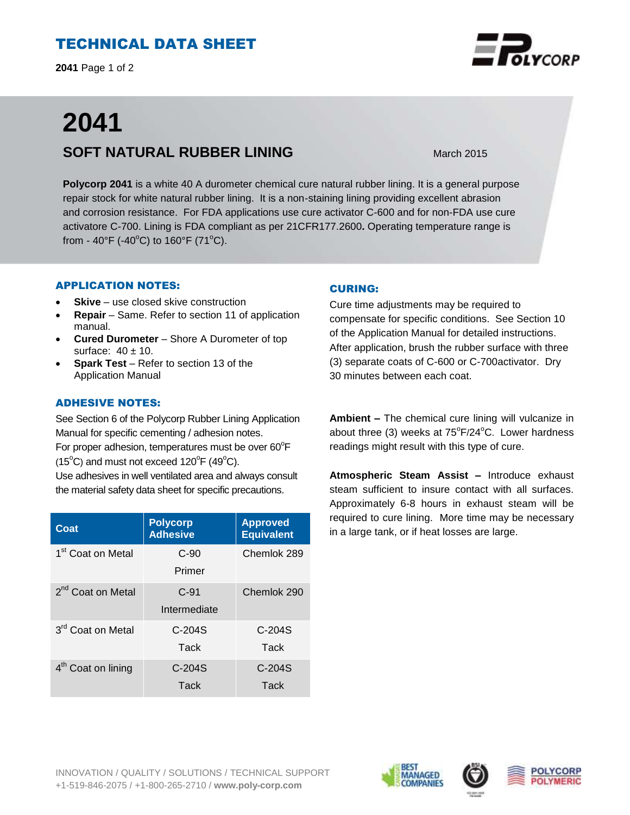# TECHNICAL DATA SHEET

**2041** Page 1 of 2

# **2041 SOFT NATURAL RUBBER LINING** March 2015

**Polycorp 2041** is a white 40 A durometer chemical cure natural rubber lining. It is a general purpose repair stock for white natural rubber lining. It is a non-staining lining providing excellent abrasion and corrosion resistance. For FDA applications use cure activator C-600 and for non-FDA use cure activatore C-700. Lining is FDA compliant as per 21CFR177.2600**.** Operating temperature range is from - 40°F (-40°C) to 160°F (71°C).

## APPLICATION NOTES:

- **Skive** use closed skive construction
- **Repair**  Same. Refer to section 11 of application manual.
- **Cured Durometer**  Shore A Durometer of top surface:  $40 \pm 10$ .
- **Spark Test** Refer to section 13 of the Application Manual

# ADHESIVE NOTES:

See Section 6 of the Polycorp Rubber Lining Application Manual for specific cementing / adhesion notes. For proper adhesion, temperatures must be over  $60^{\circ}$ F  $(15^{\circ}C)$  and must not exceed  $120^{\circ}F(49^{\circ}C)$ . Use adhesives in well ventilated area and always consult the material safety data sheet for specific precautions.

| Coat                           | <b>Polycorp</b><br><b>Adhesive</b> | <b>Approved</b><br><b>Equivalent</b> |
|--------------------------------|------------------------------------|--------------------------------------|
| 1 <sup>st</sup> Coat on Metal  | $C-90$<br>Primer                   | Chemlok 289                          |
| 2 <sup>nd</sup> Coat on Metal  | $C-91$<br>Intermediate             | Chemlok 290                          |
| 3rd Coat on Metal              | $C-204S$<br>Tack                   | $C-204S$<br>Tack                     |
| 4 <sup>th</sup> Coat on lining | C-204S<br>Tack                     | $C-204S$<br>Tack                     |

## CURING:

Cure time adjustments may be required to compensate for specific conditions. See Section 10 of the Application Manual for detailed instructions. After application, brush the rubber surface with three (3) separate coats of C-600 or C-700activator. Dry 30 minutes between each coat.

**Ambient –** The chemical cure lining will vulcanize in about three (3) weeks at  $75^{\circ}F/24^{\circ}C$ . Lower hardness readings might result with this type of cure.

**Atmospheric Steam Assist –** Introduce exhaust steam sufficient to insure contact with all surfaces. Approximately 6-8 hours in exhaust steam will be required to cure lining. More time may be necessary in a large tank, or if heat losses are large.